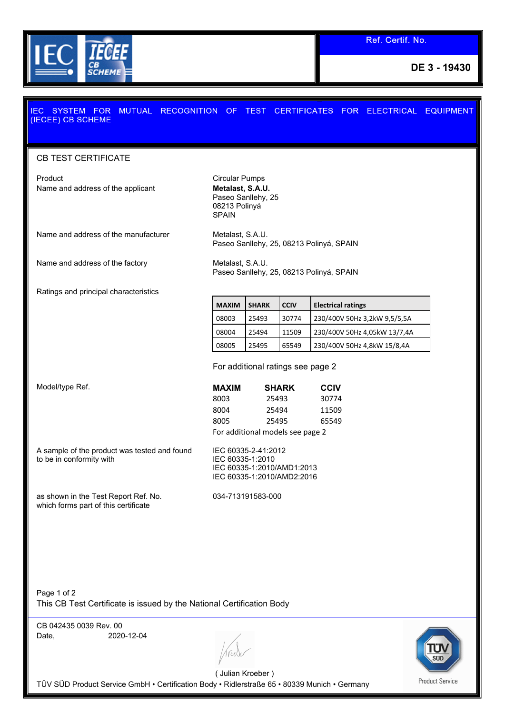

**DE 3 - 19430**

## MUTUAL RECOGNITION OF TEST CERTIFICATES FOR ELECTRICAL EQUIPMENT **EC SYSTEM FOR** (IECEE) CB SCHEME

## CB TEST CERTIFICATE

Product **Circular Pumps** Name and address of the applicant **Metalast, S.A.U.** 

Paseo Sanllehy, 25 08213 Polinyá SPAIN

Name and address of the manufacturer Metalast, S.A.U.

Name and address of the factory Metalast, S.A.U.

Paseo Sanllehy, 25, 08213 Polinyá, SPAIN

Paseo Sanllehy, 25, 08213 Polinyá, SPAIN

Ratings and principal characteristics

**Model/type Ref.** 

**MAXIM SHARK CCIV Electrical ratings** 08003 25493 30774 230/400V 50Hz 3,2kW 9,5/5,5A 08004 25494 11509 230/400V 50Hz 4,05kW 13/7,4A 08005 25495 65549 230/400V 50Hz 4,8kW 15/8,4A

For additional ratings see page 2

| <b>MAXIM</b> | <b>SHARK</b>                     | <b>CCIV</b> |  |
|--------------|----------------------------------|-------------|--|
| 8003         | 25493                            | 30774       |  |
| 8004         | 25494                            | 11509       |  |
| 8005         | 25495                            | 65549       |  |
|              | For additional models see page 2 |             |  |

A sample of the product was tested and found to be in conformity with

as shown in the Test Report Ref. No.

which forms part of this certificate

IEC 60335-1:2010 IEC 60335-1:2010/AMD1:2013 IEC 60335-1:2010/AMD2:2016

034-713191583-000

IEC 60335-2-41:2012

Page 1 of 2 This CB Test Certificate is issued by the National Certification Body

CB 042435 0039 Rev. 00 Date, 2020-12-04





( Julian Kroeber ) TÜV SÜD Product Service GmbH • Certification Body • Ridlerstraße 65 • 80339 Munich • Germany